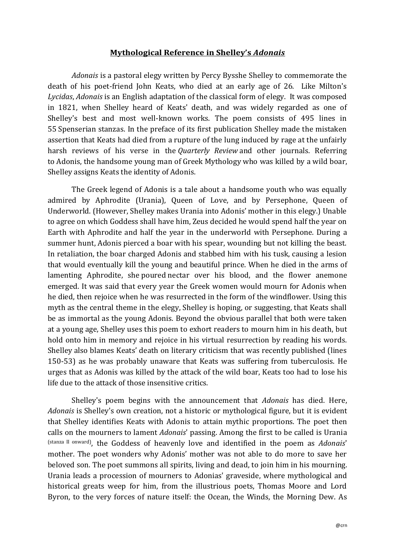## **Mythological Reference in Shelley's** *Adonais*

*Adonais* is a pastoral elegy written by Percy Bysshe Shelley to commemorate the death of his poet-friend John Keats, who died at an early age of 26. Like Milton's *Lycidas*, *Adonais* is an English adaptation of the classical form of elegy. It was composed in 1821, when Shelley heard of Keats' death, and was widely regarded as one of Shelley's best and most well-known works. The poem consists of 495 lines in 55 Spenserian stanzas. In the preface of its first publication Shelley made the mistaken assertion that Keats had died from a rupture of the lung induced by rage at the unfairly harsh reviews of his verse in the *Quarterly Review* and other journals. Referring to Adonis, the handsome young man of Greek Mythology who was killed by a wild boar, Shelley assigns Keats the identity of Adonis.

The Greek legend of Adonis is a tale about a handsome youth who was equally admired by Aphrodite (Urania), Queen of Love, and by Persephone, Queen of Underworld. (However, Shelley makes Urania into Adonis' mother in this elegy.) Unable to agree on which Goddess shall have him, Zeus decided he would spend half the year on Earth with Aphrodite and half the year in the underworld with Persephone. During a summer hunt, Adonis pierced a boar with his spear, wounding but not killing the beast. In retaliation, the boar charged Adonis and stabbed him with his tusk, causing a lesion that would eventually kill the young and beautiful prince. When he died in the arms of lamenting Aphrodite, she poured nectar over his blood, and the flower anemone emerged. It was said that every year the Greek women would mourn for Adonis when he died, then rejoice when he was resurrected in the form of the windflower. Using this myth as the central theme in the elegy, Shelley is hoping, or suggesting, that Keats shall be as immortal as the young Adonis. Beyond the obvious parallel that both were taken at a young age, Shelley uses this poem to exhort readers to mourn him in his death, but hold onto him in memory and rejoice in his virtual resurrection by reading his words. Shelley also blames Keats' death on literary criticism that was recently published (lines 150-53) as he was probably unaware that Keats was suffering from tuberculosis. He urges that as Adonis was killed by the attack of the wild boar, Keats too had to lose his life due to the attack of those insensitive critics.

Shelley's poem begins with the announcement that *Adonais* has died. Here, *Adonais* is Shelley's own creation, not a historic or mythological figure, but it is evident that Shelley identifies Keats with Adonis to attain mythic proportions. The poet then calls on the mourners to lament *Adonais*' passing. Among the first to be called is Urania (stanza II onward), the Goddess of heavenly love and identified in the poem as *Adonais*' mother. The poet wonders why Adonis' mother was not able to do more to save her beloved son. The poet summons all spirits, living and dead, to join him in his mourning. Urania leads a procession of mourners to Adonias' graveside, where mythological and historical greats weep for him, from the illustrious poets, Thomas Moore and Lord Byron, to the very forces of nature itself: the Ocean, the Winds, the Morning Dew. As